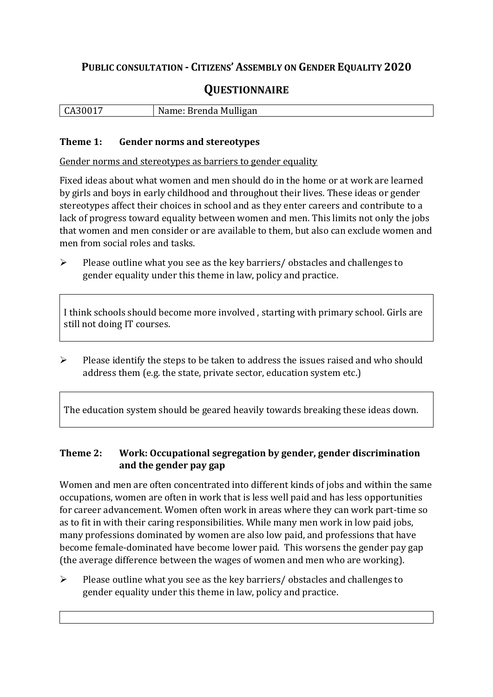## **PUBLIC CONSULTATION - CITIZENS' ASSEMBLY ON GENDER EQUALITY 2020**

# **QUESTIONNAIRE**

| $\vert$ CA30017 | Name: Brenda Mulligan |
|-----------------|-----------------------|
|                 |                       |

#### **Theme 1: Gender norms and stereotypes**

Gender norms and stereotypes as barriers to gender equality

Fixed ideas about what women and men should do in the home or at work are learned by girls and boys in early childhood and throughout their lives. These ideas or gender stereotypes affect their choices in school and as they enter careers and contribute to a lack of progress toward equality between women and men. This limits not only the jobs that women and men consider or are available to them, but also can exclude women and men from social roles and tasks.

➢ Please outline what you see as the key barriers/ obstacles and challenges to gender equality under this theme in law, policy and practice.

I think schools should become more involved , starting with primary school. Girls are still not doing IT courses.

➢ Please identify the steps to be taken to address the issues raised and who should address them (e.g. the state, private sector, education system etc.)

The education system should be geared heavily towards breaking these ideas down.

## **Theme 2: Work: Occupational segregation by gender, gender discrimination and the gender pay gap**

Women and men are often concentrated into different kinds of jobs and within the same occupations, women are often in work that is less well paid and has less opportunities for career advancement. Women often work in areas where they can work part-time so as to fit in with their caring responsibilities. While many men work in low paid jobs, many professions dominated by women are also low paid, and professions that have become female-dominated have become lower paid. This worsens the gender pay gap (the average difference between the wages of women and men who are working).

➢ Please outline what you see as the key barriers/ obstacles and challenges to gender equality under this theme in law, policy and practice.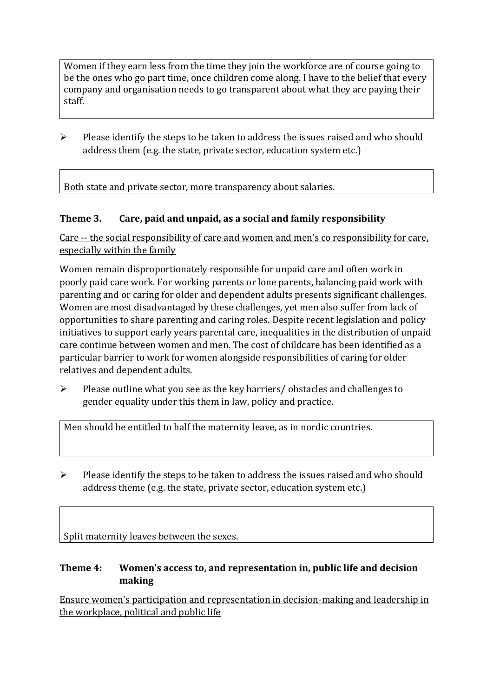Women if they earn less from the time they join the workforce are of course going to be the ones who go part time, once children come along. I have to the belief that every company and organisation needs to go transparent about what they are paying their staff.

➢ Please identify the steps to be taken to address the issues raised and who should address them (e.g. the state, private sector, education system etc.)

Both state and private sector, more transparency about salaries.

### **Theme 3. Care, paid and unpaid, as a social and family responsibility**

Care -- the social responsibility of care and women and men's co responsibility for care, especially within the family

Women remain disproportionately responsible for unpaid care and often work in poorly paid care work. For working parents or [lone parents,](https://aran.library.nuigalway.ie/bitstream/handle/10379/6044/Millar_and_Crosse_Activation_Report.pdf?sequence=1&isAllowed=y) balancing paid work with parenting and or caring for older and dependent adults presents significant challenges. Women are [most disadvantaged by these challenges,](https://eige.europa.eu/gender-equality-index/game/IE/W) yet men also suffer from lack of opportunities to share parenting and caring roles. Despite recent legislation and policy initiatives to support early years parental care, [inequalities in the distribution of unpaid](https://www.ihrec.ie/app/uploads/2019/07/Caring-and-Unpaid-Work-in-Ireland_Final.pdf)  [care](https://www.ihrec.ie/app/uploads/2019/07/Caring-and-Unpaid-Work-in-Ireland_Final.pdf) continue between women and men. The cost of childcare has been identified as a particular barrier to work for women alongside responsibilities of caring for older relatives and dependent adults.

 $\triangleright$  Please outline what you see as the key barriers/ obstacles and challenges to gender equality under this them in law, policy and practice.

Men should be entitled to half the maternity leave, as in nordic countries.

➢ Please identify the steps to be taken to address the issues raised and who should address theme (e.g. the state, private sector, education system etc.)

Split maternity leaves between the sexes.

## **Theme 4: Women's access to, and representation in, public life and decision making**

Ensure women's participation and representation in decision-making and leadership in the workplace, political and public life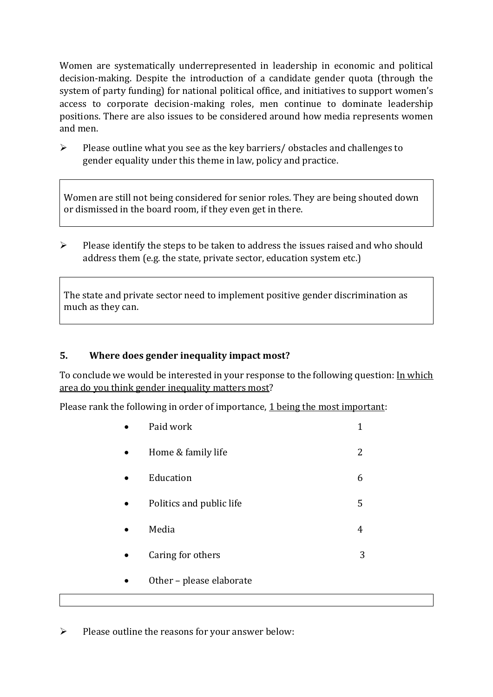Women are systematically underrepresented in leadership in [economic](https://eige.europa.eu/gender-equality-index/2019/compare-countries/power/2/bar) and [political](https://eige.europa.eu/gender-equality-index/2019/compare-countries/power/1/bar)  [decision-](https://eige.europa.eu/gender-equality-index/2019/compare-countries/power/1/bar)making. Despite the introduction of a candidate gender quota (through the system of party funding) for national political office, and [initiatives](https://betterbalance.ie/) to support women's access to corporate decision-making roles, men continue to dominate leadership positions. There are also issues to be considered around how media represents women and men.

➢ Please outline what you see as the key barriers/ obstacles and challenges to gender equality under this theme in law, policy and practice.

Women are still not being considered for senior roles. They are being shouted down or dismissed in the board room, if they even get in there.

 $\triangleright$  Please identify the steps to be taken to address the issues raised and who should address them (e.g. the state, private sector, education system etc.)

The state and private sector need to implement positive gender discrimination as much as they can.

### **5. Where does gender inequality impact most?**

To conclude we would be interested in your response to the following question: In which area do you think gender inequality matters most?

Please rank the following in order of importance, 1 being the most important:

| Paid work                | 1 |
|--------------------------|---|
| Home & family life       | 2 |
| Education                | 6 |
| Politics and public life | 5 |
| Media                    | 4 |
| Caring for others        | 3 |
| Other - please elaborate |   |

 $\triangleright$  Please outline the reasons for your answer below: